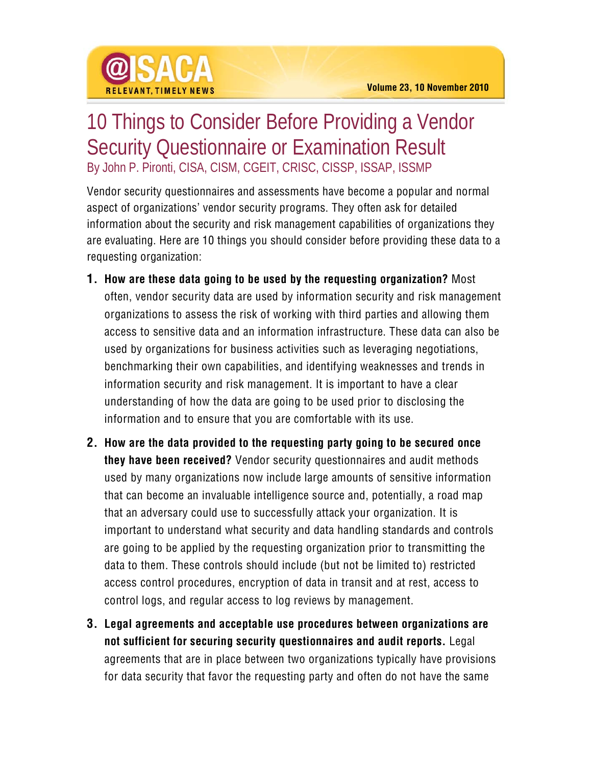

## 10 Things to Consider Before Providing a Vendor Security Questionnaire or Examination Result By John P. Pironti, CISA, CISM, CGEIT, CRISC, CISSP, ISSAP, ISSMP

Vendor security questionnaires and assessments have become a popular and normal aspect of organizations' vendor security programs. They often ask for detailed information about the security and risk management capabilities of organizations they are evaluating. Here are 10 things you should consider before providing these data to a requesting organization:

- **1. How are these data going to be used by the requesting organization?** Most often, vendor security data are used by information security and risk management organizations to assess the risk of working with third parties and allowing them access to sensitive data and an information infrastructure. These data can also be used by organizations for business activities such as leveraging negotiations, benchmarking their own capabilities, and identifying weaknesses and trends in information security and risk management. It is important to have a clear understanding of how the data are going to be used prior to disclosing the information and to ensure that you are comfortable with its use.
- **2. How are the data provided to the requesting party going to be secured once they have been received?** Vendor security questionnaires and audit methods used by many organizations now include large amounts of sensitive information that can become an invaluable intelligence source and, potentially, a road map that an adversary could use to successfully attack your organization. It is important to understand what security and data handling standards and controls are going to be applied by the requesting organization prior to transmitting the data to them. These controls should include (but not be limited to) restricted access control procedures, encryption of data in transit and at rest, access to control logs, and regular access to log reviews by management.
- **3. Legal agreements and acceptable use procedures between organizations are not sufficient for securing security questionnaires and audit reports.** Legal agreements that are in place between two organizations typically have provisions for data security that favor the requesting party and often do not have the same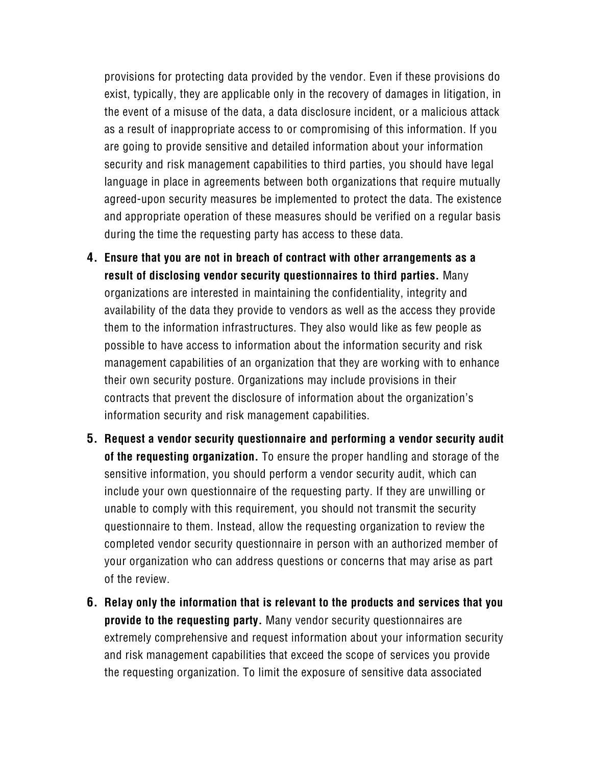provisions for protecting data provided by the vendor. Even if these provisions do exist, typically, they are applicable only in the recovery of damages in litigation, in the event of a misuse of the data, a data disclosure incident, or a malicious attack as a result of inappropriate access to or compromising of this information. If you are going to provide sensitive and detailed information about your information security and risk management capabilities to third parties, you should have legal language in place in agreements between both organizations that require mutually agreed-upon security measures be implemented to protect the data. The existence and appropriate operation of these measures should be verified on a regular basis during the time the requesting party has access to these data.

- **4. Ensure that you are not in breach of contract with other arrangements as a result of disclosing vendor security questionnaires to third parties.** Many organizations are interested in maintaining the confidentiality, integrity and availability of the data they provide to vendors as well as the access they provide them to the information infrastructures. They also would like as few people as possible to have access to information about the information security and risk management capabilities of an organization that they are working with to enhance their own security posture. Organizations may include provisions in their contracts that prevent the disclosure of information about the organization's information security and risk management capabilities.
- **5. Request a vendor security questionnaire and performing a vendor security audit of the requesting organization.** To ensure the proper handling and storage of the sensitive information, you should perform a vendor security audit, which can include your own questionnaire of the requesting party. If they are unwilling or unable to comply with this requirement, you should not transmit the security questionnaire to them. Instead, allow the requesting organization to review the completed vendor security questionnaire in person with an authorized member of your organization who can address questions or concerns that may arise as part of the review.
- **6. Relay only the information that is relevant to the products and services that you provide to the requesting party.** Many vendor security questionnaires are extremely comprehensive and request information about your information security and risk management capabilities that exceed the scope of services you provide the requesting organization. To limit the exposure of sensitive data associated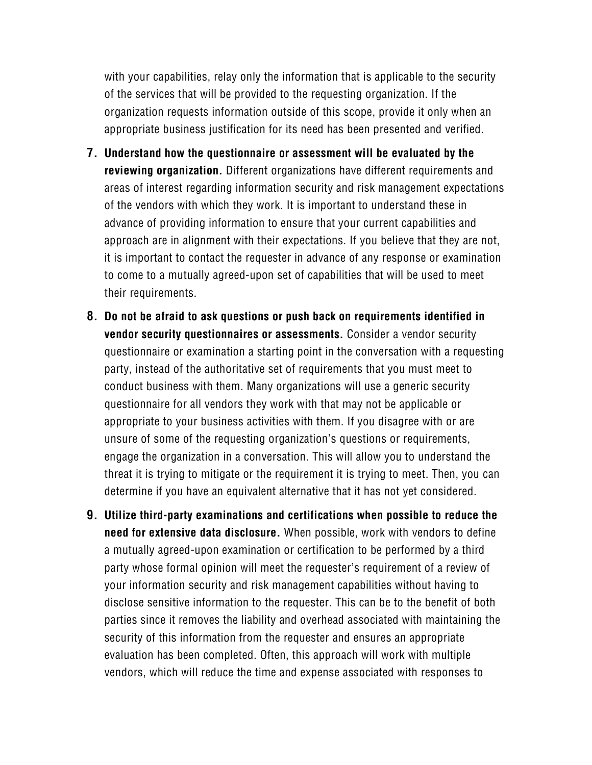with your capabilities, relay only the information that is applicable to the security of the services that will be provided to the requesting organization. If the organization requests information outside of this scope, provide it only when an appropriate business justification for its need has been presented and verified.

- **7. Understand how the questionnaire or assessment will be evaluated by the reviewing organization.** Different organizations have different requirements and areas of interest regarding information security and risk management expectations of the vendors with which they work. It is important to understand these in advance of providing information to ensure that your current capabilities and approach are in alignment with their expectations. If you believe that they are not, it is important to contact the requester in advance of any response or examination to come to a mutually agreed-upon set of capabilities that will be used to meet their requirements.
- **8. Do not be afraid to ask questions or push back on requirements identified in vendor security questionnaires or assessments.** Consider a vendor security questionnaire or examination a starting point in the conversation with a requesting party, instead of the authoritative set of requirements that you must meet to conduct business with them. Many organizations will use a generic security questionnaire for all vendors they work with that may not be applicable or appropriate to your business activities with them. If you disagree with or are unsure of some of the requesting organization's questions or requirements, engage the organization in a conversation. This will allow you to understand the threat it is trying to mitigate or the requirement it is trying to meet. Then, you can determine if you have an equivalent alternative that it has not yet considered.
- **9. Utilize third-party examinations and certifications when possible to reduce the need for extensive data disclosure.** When possible, work with vendors to define a mutually agreed-upon examination or certification to be performed by a third party whose formal opinion will meet the requester's requirement of a review of your information security and risk management capabilities without having to disclose sensitive information to the requester. This can be to the benefit of both parties since it removes the liability and overhead associated with maintaining the security of this information from the requester and ensures an appropriate evaluation has been completed. Often, this approach will work with multiple vendors, which will reduce the time and expense associated with responses to